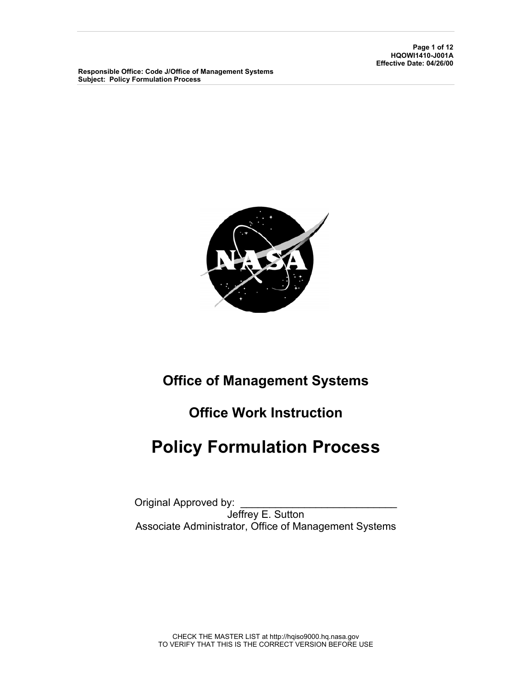**Page 1 of 12 HQOWI1410-J001A Effective Date: 04/26/00** 

**Responsible Office: Code J/Office of Management Systems Subject: Policy Formulation Process** 



## **Office of Management Systems**

# **Office Work Instruction**

# **Policy Formulation Process**

Original Approved by: Jeffrey E. Sutton Associate Administrator, Office of Management Systems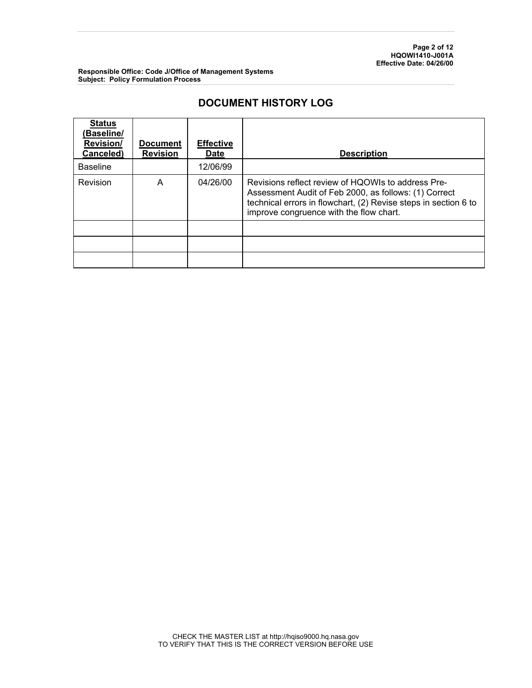## **DOCUMENT HISTORY LOG**

| <b>Status</b><br>(Baseline/<br><b>Revision/</b><br>Canceled) | <b>Document</b><br><b>Revision</b> | <b>Effective</b><br><b>Date</b> | <b>Description</b>                                                                                                                                                                                                        |
|--------------------------------------------------------------|------------------------------------|---------------------------------|---------------------------------------------------------------------------------------------------------------------------------------------------------------------------------------------------------------------------|
| <b>Baseline</b>                                              |                                    | 12/06/99                        |                                                                                                                                                                                                                           |
| Revision                                                     | A                                  | 04/26/00                        | Revisions reflect review of HQOWIs to address Pre-<br>Assessment Audit of Feb 2000, as follows: (1) Correct<br>technical errors in flowchart, (2) Revise steps in section 6 to<br>improve congruence with the flow chart. |
|                                                              |                                    |                                 |                                                                                                                                                                                                                           |
|                                                              |                                    |                                 |                                                                                                                                                                                                                           |
|                                                              |                                    |                                 |                                                                                                                                                                                                                           |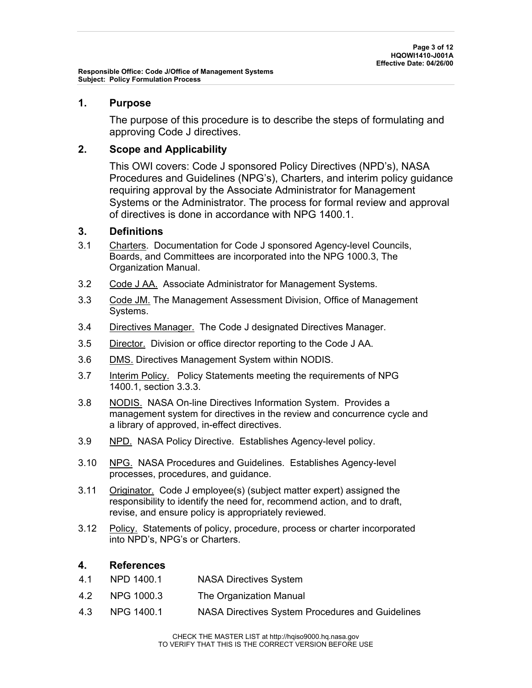## **1. Purpose**

The purpose of this procedure is to describe the steps of formulating and approving Code J directives.

## **2. Scope and Applicability**

This OWI covers: Code J sponsored Policy Directives (NPD's), NASA Procedures and Guidelines (NPG's), Charters, and interim policy guidance requiring approval by the Associate Administrator for Management Systems or the Administrator. The process for formal review and approval of directives is done in accordance with NPG 1400.1.

## **3. Definitions**

- 3.1 Charters. Documentation for Code J sponsored Agency-level Councils, Boards, and Committees are incorporated into the NPG 1000.3, The Organization Manual.
- 3.2 Code J AA. Associate Administrator for Management Systems.
- 3.3 Code JM. The Management Assessment Division, Office of Management Systems.
- 3.4 Directives Manager. The Code J designated Directives Manager.
- 3.5 Director. Division or office director reporting to the Code J AA.
- 3.6 DMS. Directives Management System within NODIS.
- 3.7 Interim Policy. Policy Statements meeting the requirements of NPG 1400.1, section 3.3.3.
- 3.8 NODIS. NASA On-line Directives Information System. Provides a management system for directives in the review and concurrence cycle and a library of approved, in-effect directives.
- 3.9 NPD. NASA Policy Directive. Establishes Agency-level policy.
- 3.10 NPG. NASA Procedures and Guidelines. Establishes Agency-level processes, procedures, and guidance.
- 3.11 Originator. Code J employee(s) (subject matter expert) assigned the responsibility to identify the need for, recommend action, and to draft, revise, and ensure policy is appropriately reviewed.
- 3.12 Policy. Statements of policy, procedure, process or charter incorporated into NPD's, NPG's or Charters.

## **4. References**

- 4.1 NPD 1400.1 NASA Directives System
- 4.2 NPG 1000.3 The Organization Manual
- 4.3 NPG 1400.1 NASA Directives System Procedures and Guidelines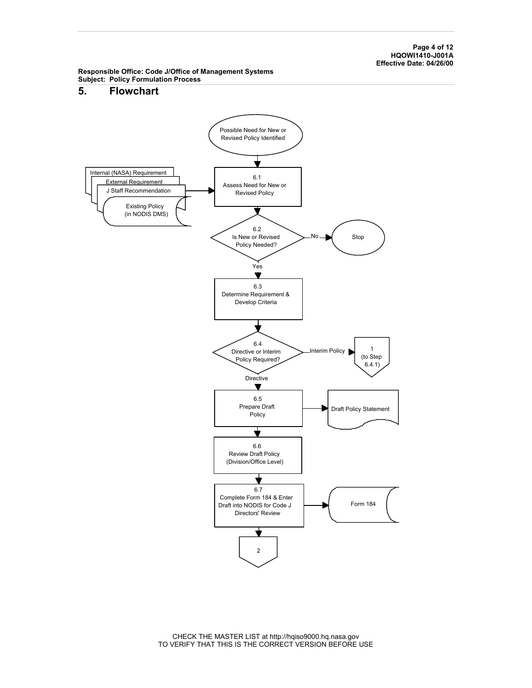**Page 4 of 12 HQOWI1410-J001A Effective Date: 04/26/00** 

**Responsible Office: Code J/Office of Management Systems Subject: Policy Formulation Process** 

### **5. Flowchart**



CHECK THE MASTER LIST at http://hqiso9000.hq.nasa.gov TO VERIFY THAT THIS IS THE CORRECT VERSION BEFORE USE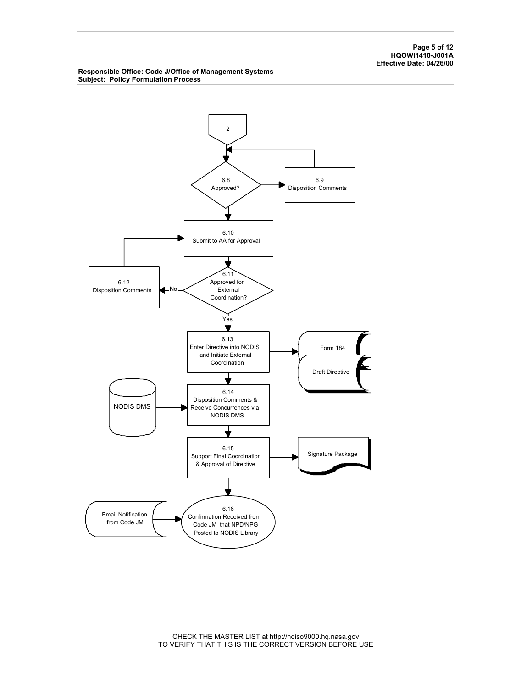**Page 5 of 12 HQOWI1410-J001A Effective Date: 04/26/00** 

#### **Responsible Office: Code J/Office of Management Systems Subject: Policy Formulation Process**



CHECK THE MASTER LIST at http://hqiso9000.hq.nasa.gov TO VERIFY THAT THIS IS THE CORRECT VERSION BEFORE USE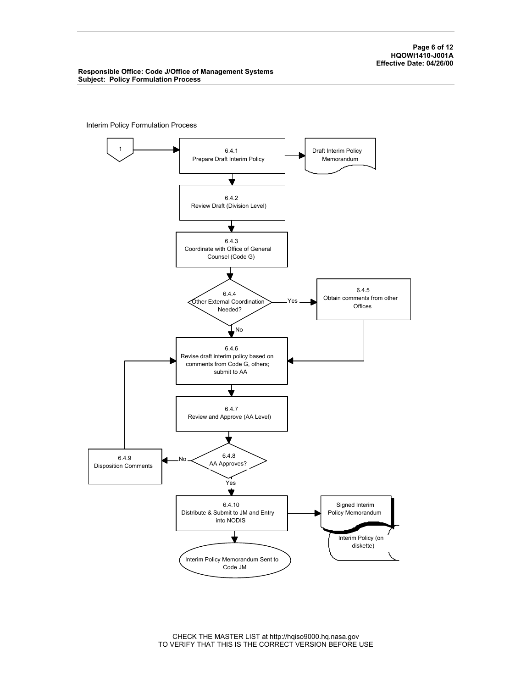**Page 6 of 12 HQOWI1410-J001A Effective Date: 04/26/00** 

#### **Responsible Office: Code J/Office of Management Systems Subject: Policy Formulation Process**

Interim Policy Formulation Process



CHECK THE MASTER LIST at http://hqiso9000.hq.nasa.gov TO VERIFY THAT THIS IS THE CORRECT VERSION BEFORE USE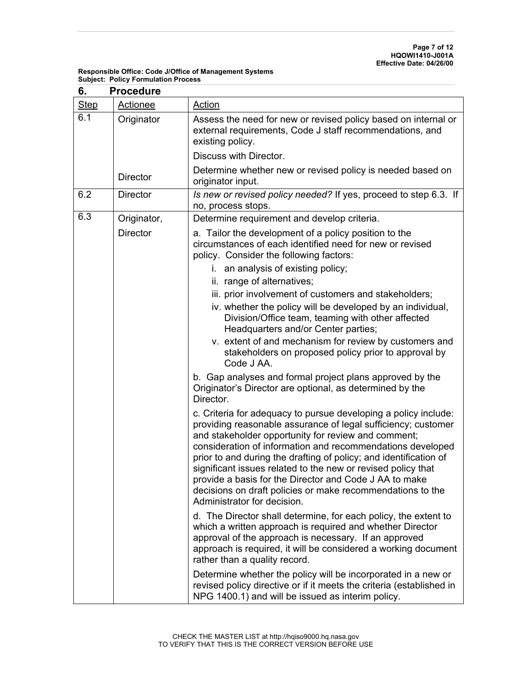| 6.          | <b>Procedure</b> |                                                                                                                                                                                                                                                                                                                                                                                                                                                                                                                                                   |  |  |  |
|-------------|------------------|---------------------------------------------------------------------------------------------------------------------------------------------------------------------------------------------------------------------------------------------------------------------------------------------------------------------------------------------------------------------------------------------------------------------------------------------------------------------------------------------------------------------------------------------------|--|--|--|
| <b>Step</b> | Actionee         | Action                                                                                                                                                                                                                                                                                                                                                                                                                                                                                                                                            |  |  |  |
| 6.1         | Originator       | Assess the need for new or revised policy based on internal or<br>external requirements, Code J staff recommendations, and<br>existing policy.                                                                                                                                                                                                                                                                                                                                                                                                    |  |  |  |
|             |                  | Discuss with Director.                                                                                                                                                                                                                                                                                                                                                                                                                                                                                                                            |  |  |  |
|             | <b>Director</b>  | Determine whether new or revised policy is needed based on<br>originator input.                                                                                                                                                                                                                                                                                                                                                                                                                                                                   |  |  |  |
| 6.2         | <b>Director</b>  | Is new or revised policy needed? If yes, proceed to step 6.3. If<br>no, process stops.                                                                                                                                                                                                                                                                                                                                                                                                                                                            |  |  |  |
| 6.3         | Originator,      | Determine requirement and develop criteria.                                                                                                                                                                                                                                                                                                                                                                                                                                                                                                       |  |  |  |
|             | <b>Director</b>  | a. Tailor the development of a policy position to the<br>circumstances of each identified need for new or revised<br>policy. Consider the following factors:                                                                                                                                                                                                                                                                                                                                                                                      |  |  |  |
|             |                  | i. an analysis of existing policy;                                                                                                                                                                                                                                                                                                                                                                                                                                                                                                                |  |  |  |
|             |                  | ii. range of alternatives;                                                                                                                                                                                                                                                                                                                                                                                                                                                                                                                        |  |  |  |
|             |                  | iii. prior involvement of customers and stakeholders;<br>iv. whether the policy will be developed by an individual,<br>Division/Office team, teaming with other affected<br>Headquarters and/or Center parties;                                                                                                                                                                                                                                                                                                                                   |  |  |  |
|             |                  | v. extent of and mechanism for review by customers and<br>stakeholders on proposed policy prior to approval by<br>Code J AA.                                                                                                                                                                                                                                                                                                                                                                                                                      |  |  |  |
|             |                  | b. Gap analyses and formal project plans approved by the<br>Originator's Director are optional, as determined by the<br>Director.                                                                                                                                                                                                                                                                                                                                                                                                                 |  |  |  |
|             |                  | c. Criteria for adequacy to pursue developing a policy include:<br>providing reasonable assurance of legal sufficiency; customer<br>and stakeholder opportunity for review and comment;<br>consideration of information and recommendations developed<br>prior to and during the drafting of policy; and identification of<br>significant issues related to the new or revised policy that<br>provide a basis for the Director and Code J AA to make<br>decisions on draft policies or make recommendations to the<br>Administrator for decision. |  |  |  |
|             |                  | d. The Director shall determine, for each policy, the extent to<br>which a written approach is required and whether Director<br>approval of the approach is necessary. If an approved<br>approach is required, it will be considered a working document<br>rather than a quality record.                                                                                                                                                                                                                                                          |  |  |  |
|             |                  | Determine whether the policy will be incorporated in a new or<br>revised policy directive or if it meets the criteria (established in<br>NPG 1400.1) and will be issued as interim policy.                                                                                                                                                                                                                                                                                                                                                        |  |  |  |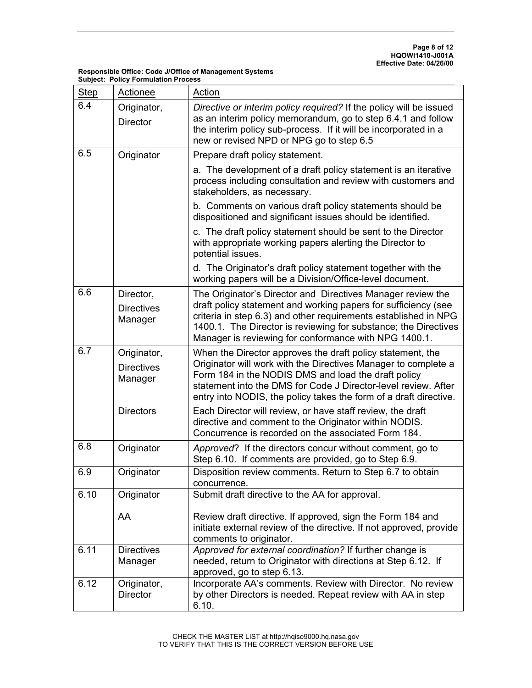| <b>Step</b> | Actionee                                    | <b>Action</b>                                                                                                                                                                                                                                                                                                                |
|-------------|---------------------------------------------|------------------------------------------------------------------------------------------------------------------------------------------------------------------------------------------------------------------------------------------------------------------------------------------------------------------------------|
| 6.4         | Originator,<br><b>Director</b>              | Directive or interim policy required? If the policy will be issued<br>as an interim policy memorandum, go to step 6.4.1 and follow<br>the interim policy sub-process. If it will be incorporated in a<br>new or revised NPD or NPG go to step 6.5                                                                            |
| 6.5         | Originator                                  | Prepare draft policy statement.                                                                                                                                                                                                                                                                                              |
|             |                                             | a. The development of a draft policy statement is an iterative<br>process including consultation and review with customers and<br>stakeholders, as necessary.                                                                                                                                                                |
|             |                                             | b. Comments on various draft policy statements should be<br>dispositioned and significant issues should be identified.                                                                                                                                                                                                       |
|             |                                             | c. The draft policy statement should be sent to the Director<br>with appropriate working papers alerting the Director to<br>potential issues.                                                                                                                                                                                |
|             |                                             | d. The Originator's draft policy statement together with the<br>working papers will be a Division/Office-level document.                                                                                                                                                                                                     |
| 6.6         | Director,<br><b>Directives</b><br>Manager   | The Originator's Director and Directives Manager review the<br>draft policy statement and working papers for sufficiency (see<br>criteria in step 6.3) and other requirements established in NPG<br>1400.1. The Director is reviewing for substance; the Directives<br>Manager is reviewing for conformance with NPG 1400.1. |
| 6.7         | Originator,<br><b>Directives</b><br>Manager | When the Director approves the draft policy statement, the<br>Originator will work with the Directives Manager to complete a<br>Form 184 in the NODIS DMS and load the draft policy<br>statement into the DMS for Code J Director-level review. After<br>entry into NODIS, the policy takes the form of a draft directive.   |
|             | <b>Directors</b>                            | Each Director will review, or have staff review, the draft<br>directive and comment to the Originator within NODIS.<br>Concurrence is recorded on the associated Form 184.                                                                                                                                                   |
| 6.8         | Originator                                  | Approved? If the directors concur without comment, go to<br>Step 6.10. If comments are provided, go to Step 6.9.                                                                                                                                                                                                             |
| 6.9         | Originator                                  | Disposition review comments. Return to Step 6.7 to obtain<br>concurrence.                                                                                                                                                                                                                                                    |
| 6.10        | Originator                                  | Submit draft directive to the AA for approval.                                                                                                                                                                                                                                                                               |
|             | AA                                          | Review draft directive. If approved, sign the Form 184 and<br>initiate external review of the directive. If not approved, provide<br>comments to originator.                                                                                                                                                                 |
| 6.11        | <b>Directives</b><br>Manager                | Approved for external coordination? If further change is<br>needed, return to Originator with directions at Step 6.12. If<br>approved, go to step 6.13.                                                                                                                                                                      |
| 6.12        | Originator,<br><b>Director</b>              | Incorporate AA's comments. Review with Director. No review<br>by other Directors is needed. Repeat review with AA in step<br>6.10.                                                                                                                                                                                           |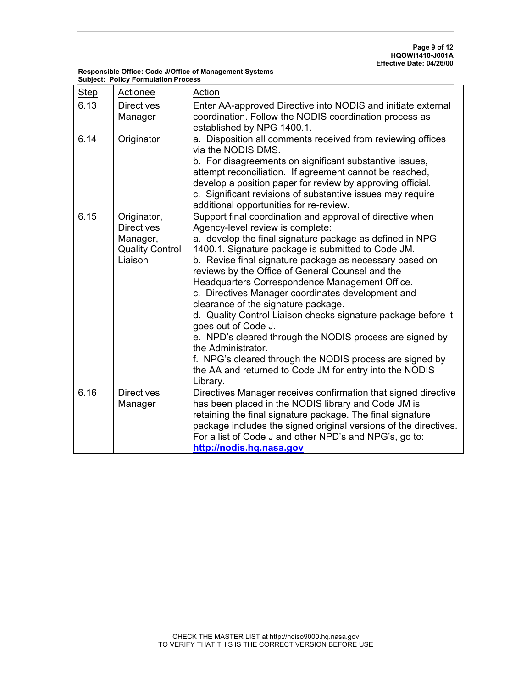| <b>Responsible Office: Code J/Office of Management Systems</b> |
|----------------------------------------------------------------|
| <b>Subject: Policy Formulation Process</b>                     |

| <b>Step</b> | Actionee                                                                          | Action                                                                                                                                                                                                                                                                                                                                                                                                                                                                                                                                                                                                                                                                                                                                                                                    |
|-------------|-----------------------------------------------------------------------------------|-------------------------------------------------------------------------------------------------------------------------------------------------------------------------------------------------------------------------------------------------------------------------------------------------------------------------------------------------------------------------------------------------------------------------------------------------------------------------------------------------------------------------------------------------------------------------------------------------------------------------------------------------------------------------------------------------------------------------------------------------------------------------------------------|
| 6.13        | <b>Directives</b><br>Manager                                                      | Enter AA-approved Directive into NODIS and initiate external<br>coordination. Follow the NODIS coordination process as<br>established by NPG 1400.1.                                                                                                                                                                                                                                                                                                                                                                                                                                                                                                                                                                                                                                      |
| 6.14        | Originator                                                                        | a. Disposition all comments received from reviewing offices<br>via the NODIS DMS.<br>b. For disagreements on significant substantive issues,<br>attempt reconciliation. If agreement cannot be reached,<br>develop a position paper for review by approving official.<br>c. Significant revisions of substantive issues may require<br>additional opportunities for re-review.                                                                                                                                                                                                                                                                                                                                                                                                            |
| 6.15        | Originator,<br><b>Directives</b><br>Manager,<br><b>Quality Control</b><br>Liaison | Support final coordination and approval of directive when<br>Agency-level review is complete:<br>a. develop the final signature package as defined in NPG<br>1400.1. Signature package is submitted to Code JM.<br>b. Revise final signature package as necessary based on<br>reviews by the Office of General Counsel and the<br>Headquarters Correspondence Management Office.<br>c. Directives Manager coordinates development and<br>clearance of the signature package.<br>d. Quality Control Liaison checks signature package before it<br>goes out of Code J.<br>e. NPD's cleared through the NODIS process are signed by<br>the Administrator.<br>f. NPG's cleared through the NODIS process are signed by<br>the AA and returned to Code JM for entry into the NODIS<br>Library. |
| 6.16        | <b>Directives</b><br>Manager                                                      | Directives Manager receives confirmation that signed directive<br>has been placed in the NODIS library and Code JM is<br>retaining the final signature package. The final signature<br>package includes the signed original versions of the directives.<br>For a list of Code J and other NPD's and NPG's, go to:<br>http://nodis.hq.nasa.gov                                                                                                                                                                                                                                                                                                                                                                                                                                             |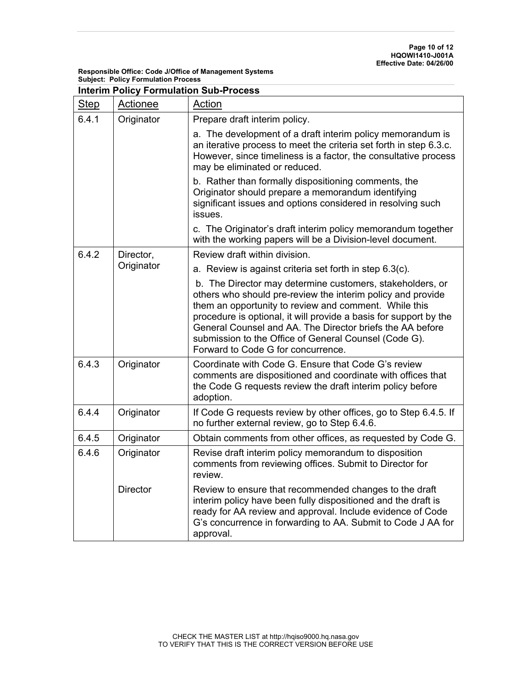| <b>Step</b> | <b>Actionee</b> | Action                                                                                                                                                                                                                                                                                                                                                                                                             |  |  |  |
|-------------|-----------------|--------------------------------------------------------------------------------------------------------------------------------------------------------------------------------------------------------------------------------------------------------------------------------------------------------------------------------------------------------------------------------------------------------------------|--|--|--|
| 6.4.1       | Originator      | Prepare draft interim policy.                                                                                                                                                                                                                                                                                                                                                                                      |  |  |  |
|             |                 | a. The development of a draft interim policy memorandum is<br>an iterative process to meet the criteria set forth in step 6.3.c.<br>However, since timeliness is a factor, the consultative process<br>may be eliminated or reduced.                                                                                                                                                                               |  |  |  |
|             |                 | b. Rather than formally dispositioning comments, the<br>Originator should prepare a memorandum identifying<br>significant issues and options considered in resolving such<br>issues.                                                                                                                                                                                                                               |  |  |  |
|             |                 | c. The Originator's draft interim policy memorandum together<br>with the working papers will be a Division-level document.                                                                                                                                                                                                                                                                                         |  |  |  |
| 6.4.2       | Director,       | Review draft within division.                                                                                                                                                                                                                                                                                                                                                                                      |  |  |  |
|             | Originator      | a. Review is against criteria set forth in step 6.3(c).                                                                                                                                                                                                                                                                                                                                                            |  |  |  |
|             |                 | b. The Director may determine customers, stakeholders, or<br>others who should pre-review the interim policy and provide<br>them an opportunity to review and comment. While this<br>procedure is optional, it will provide a basis for support by the<br>General Counsel and AA. The Director briefs the AA before<br>submission to the Office of General Counsel (Code G).<br>Forward to Code G for concurrence. |  |  |  |
| 6.4.3       | Originator      | Coordinate with Code G. Ensure that Code G's review<br>comments are dispositioned and coordinate with offices that<br>the Code G requests review the draft interim policy before<br>adoption.                                                                                                                                                                                                                      |  |  |  |
| 6.4.4       | Originator      | If Code G requests review by other offices, go to Step 6.4.5. If<br>no further external review, go to Step 6.4.6.                                                                                                                                                                                                                                                                                                  |  |  |  |
| 6.4.5       | Originator      | Obtain comments from other offices, as requested by Code G.                                                                                                                                                                                                                                                                                                                                                        |  |  |  |
| 6.4.6       | Originator      | Revise draft interim policy memorandum to disposition<br>comments from reviewing offices. Submit to Director for<br>review.                                                                                                                                                                                                                                                                                        |  |  |  |
|             | <b>Director</b> | Review to ensure that recommended changes to the draft<br>interim policy have been fully dispositioned and the draft is<br>ready for AA review and approval. Include evidence of Code<br>G's concurrence in forwarding to AA. Submit to Code J AA for<br>approval.                                                                                                                                                 |  |  |  |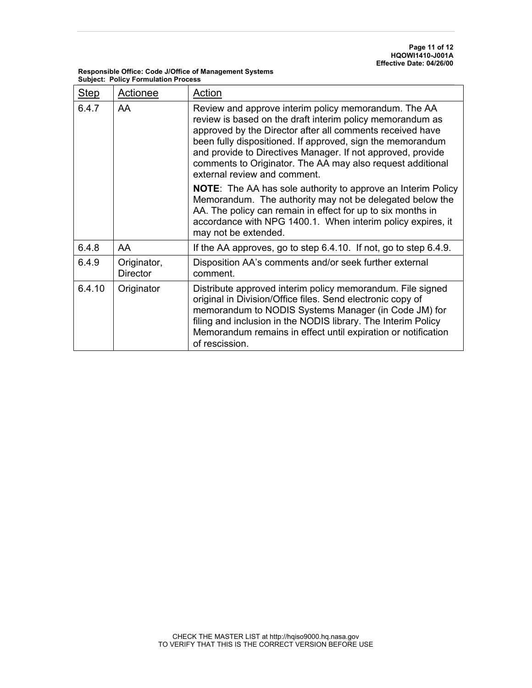| <b>Step</b> | Actionee                       | Action                                                                                                                                                                                                                                                                                                                                                                                                    |
|-------------|--------------------------------|-----------------------------------------------------------------------------------------------------------------------------------------------------------------------------------------------------------------------------------------------------------------------------------------------------------------------------------------------------------------------------------------------------------|
| 6.4.7       | AA                             | Review and approve interim policy memorandum. The AA<br>review is based on the draft interim policy memorandum as<br>approved by the Director after all comments received have<br>been fully dispositioned. If approved, sign the memorandum<br>and provide to Directives Manager. If not approved, provide<br>comments to Originator. The AA may also request additional<br>external review and comment. |
|             |                                | <b>NOTE:</b> The AA has sole authority to approve an Interim Policy<br>Memorandum. The authority may not be delegated below the<br>AA. The policy can remain in effect for up to six months in<br>accordance with NPG 1400.1. When interim policy expires, it<br>may not be extended.                                                                                                                     |
| 6.4.8       | AA                             | If the AA approves, go to step 6.4.10. If not, go to step 6.4.9.                                                                                                                                                                                                                                                                                                                                          |
| 6.4.9       | Originator,<br><b>Director</b> | Disposition AA's comments and/or seek further external<br>comment.                                                                                                                                                                                                                                                                                                                                        |
| 6.4.10      | Originator                     | Distribute approved interim policy memorandum. File signed<br>original in Division/Office files. Send electronic copy of<br>memorandum to NODIS Systems Manager (in Code JM) for<br>filing and inclusion in the NODIS library. The Interim Policy<br>Memorandum remains in effect until expiration or notification<br>of rescission.                                                                      |